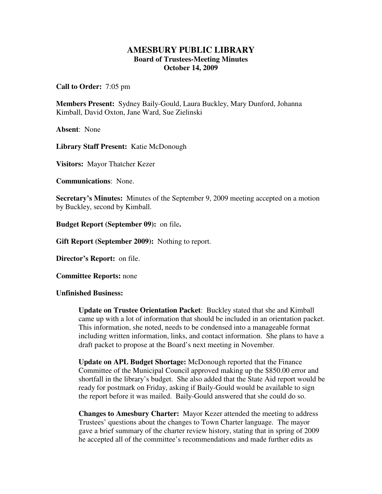## **AMESBURY PUBLIC LIBRARY Board of Trustees-Meeting Minutes October 14, 2009**

**Call to Order:** 7:05 pm

**Members Present:** Sydney Baily-Gould, Laura Buckley, Mary Dunford, Johanna Kimball, David Oxton, Jane Ward, Sue Zielinski

**Absent**: None

**Library Staff Present:** Katie McDonough

**Visitors:** Mayor Thatcher Kezer

**Communications**: None.

**Secretary's Minutes:** Minutes of the September 9, 2009 meeting accepted on a motion by Buckley, second by Kimball.

**Budget Report (September 09):** on file**.** 

**Gift Report (September 2009):** Nothing to report.

**Director's Report:** on file.

**Committee Reports:** none

**Unfinished Business:** 

**Update on Trustee Orientation Packet**: Buckley stated that she and Kimball came up with a lot of information that should be included in an orientation packet. This information, she noted, needs to be condensed into a manageable format including written information, links, and contact information. She plans to have a draft packet to propose at the Board's next meeting in November.

**Update on APL Budget Shortage:** McDonough reported that the Finance Committee of the Municipal Council approved making up the \$850.00 error and shortfall in the library's budget. She also added that the State Aid report would be ready for postmark on Friday, asking if Baily-Gould would be available to sign the report before it was mailed. Baily-Gould answered that she could do so.

**Changes to Amesbury Charter:** Mayor Kezer attended the meeting to address Trustees' questions about the changes to Town Charter language. The mayor gave a brief summary of the charter review history, stating that in spring of 2009 he accepted all of the committee's recommendations and made further edits as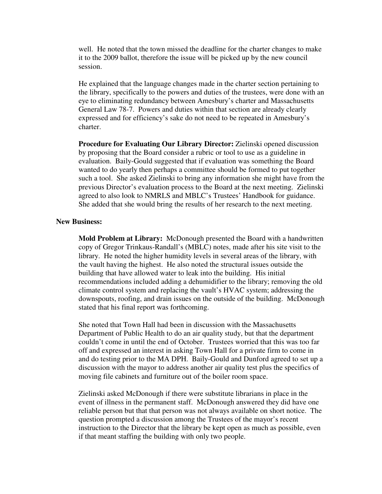well. He noted that the town missed the deadline for the charter changes to make it to the 2009 ballot, therefore the issue will be picked up by the new council session.

He explained that the language changes made in the charter section pertaining to the library, specifically to the powers and duties of the trustees, were done with an eye to eliminating redundancy between Amesbury's charter and Massachusetts General Law 78-7. Powers and duties within that section are already clearly expressed and for efficiency's sake do not need to be repeated in Amesbury's charter.

**Procedure for Evaluating Our Library Director:** Zielinski opened discussion by proposing that the Board consider a rubric or tool to use as a guideline in evaluation. Baily-Gould suggested that if evaluation was something the Board wanted to do yearly then perhaps a committee should be formed to put together such a tool. She asked Zielinski to bring any information she might have from the previous Director's evaluation process to the Board at the next meeting. Zielinski agreed to also look to NMRLS and MBLC's Trustees' Handbook for guidance. She added that she would bring the results of her research to the next meeting.

## **New Business:**

**Mold Problem at Library:** McDonough presented the Board with a handwritten copy of Gregor Trinkaus-Randall's (MBLC) notes, made after his site visit to the library. He noted the higher humidity levels in several areas of the library, with the vault having the highest. He also noted the structural issues outside the building that have allowed water to leak into the building. His initial recommendations included adding a dehumidifier to the library; removing the old climate control system and replacing the vault's HVAC system; addressing the downspouts, roofing, and drain issues on the outside of the building. McDonough stated that his final report was forthcoming.

She noted that Town Hall had been in discussion with the Massachusetts Department of Public Health to do an air quality study, but that the department couldn't come in until the end of October. Trustees worried that this was too far off and expressed an interest in asking Town Hall for a private firm to come in and do testing prior to the MA DPH. Baily-Gould and Dunford agreed to set up a discussion with the mayor to address another air quality test plus the specifics of moving file cabinets and furniture out of the boiler room space.

Zielinski asked McDonough if there were substitute librarians in place in the event of illness in the permanent staff. McDonough answered they did have one reliable person but that that person was not always available on short notice. The question prompted a discussion among the Trustees of the mayor's recent instruction to the Director that the library be kept open as much as possible, even if that meant staffing the building with only two people.